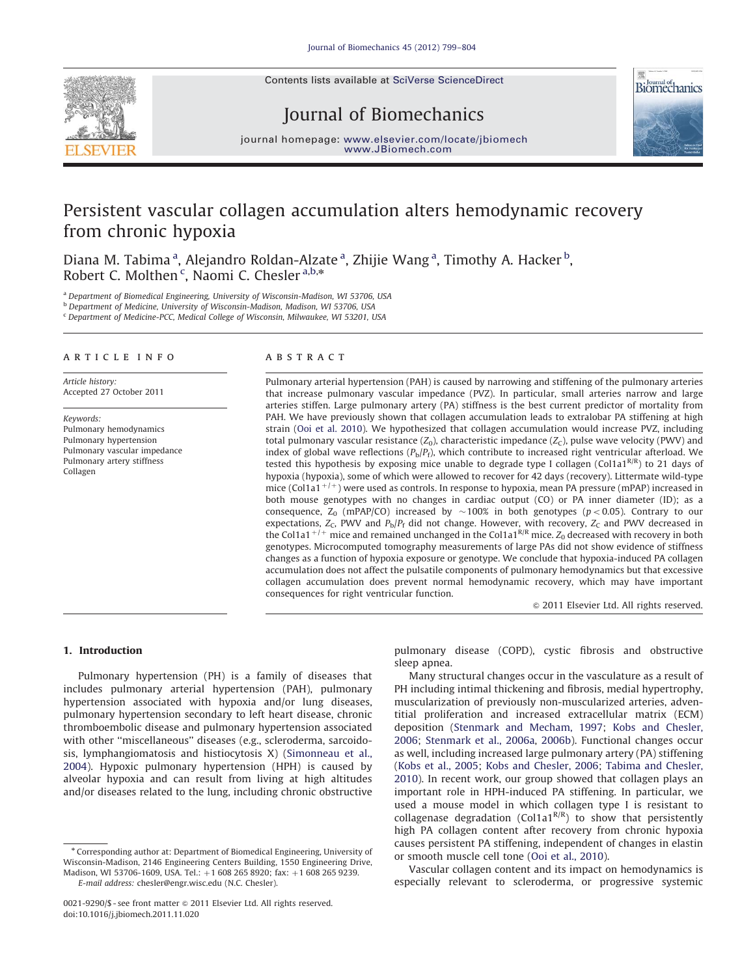Contents lists available at SciVerse ScienceDirect



# Journal of Biomechanics



journal homepage: www.elsevier.com/locate/jbiomech www.JBiomech.com

# Persistent vascular collagen accumulation alters hemodynamic recovery from chronic hypoxia

Diana M. Tabima <sup>a</sup>, Alejandro Roldan-Alzate <sup>a</sup>, Zhijie Wang <sup>a</sup>, Timothy A. Hacker <sup>b</sup>, Robert C. Molthen<sup>c</sup>, Naomi C. Chesler <sup>a,b,\*</sup>

<sup>a</sup> Department of Biomedical Engineering, University of Wisconsin-Madison, WI 53706, USA

b Department of Medicine, University of Wisconsin-Madison, Madison, WI 53706, USA

 $c$  Department of Medicine-PCC, Medical College of Wisconsin, Milwaukee, WI 53201, USA

# ARTICLE INFO

Article history: Accepted 27 October 2011

Keywords: Pulmonary hemodynamics Pulmonary hypertension Pulmonary vascular impedance Pulmonary artery stiffness Collagen

## **ABSTRACT**

Pulmonary arterial hypertension (PAH) is caused by narrowing and stiffening of the pulmonary arteries that increase pulmonary vascular impedance (PVZ). In particular, small arteries narrow and large arteries stiffen. Large pulmonary artery (PA) stiffness is the best current predictor of mortality from PAH. We have previously shown that collagen accumulation leads to extralobar PA stiffening at high strain (Ooi et al. 2010). We hypothesized that collagen accumulation would increase PVZ, including total pulmonary vascular resistance  $(Z_0)$ , characteristic impedance  $(Z_C)$ , pulse wave velocity (PWV) and index of global wave reflections  $(P_b/P_f)$ , which contribute to increased right ventricular afterload. We tested this hypothesis by exposing mice unable to degrade type I collagen (Col1a1<sup>R/R</sup>) to 21 days of hypoxia (hypoxia), some of which were allowed to recover for 42 days (recovery). Littermate wild-type mice (Col1a1<sup>+/+</sup>) were used as controls. In response to hypoxia, mean PA pressure (mPAP) increased in both mouse genotypes with no changes in cardiac output (CO) or PA inner diameter (ID); as a consequence,  $Z_0$  (mPAP/CO) increased by  $\sim 100\%$  in both genotypes ( $p < 0.05$ ). Contrary to our expectations,  $Z_c$ , PWV and  $P_b/P_f$  did not change. However, with recovery,  $Z_c$  and PWV decreased in the Col1a1<sup>+/+</sup> mice and remained unchanged in the Col1a1<sup>R/R</sup> mice.  $Z_0$  decreased with recovery in both genotypes. Microcomputed tomography measurements of large PAs did not show evidence of stiffness changes as a function of hypoxia exposure or genotype. We conclude that hypoxia-induced PA collagen accumulation does not affect the pulsatile components of pulmonary hemodynamics but that excessive collagen accumulation does prevent normal hemodynamic recovery, which may have important consequences for right ventricular function.

 $©$  2011 Elsevier Ltd. All rights reserved.

# 1. Introduction

Pulmonary hypertension (PH) is a family of diseases that includes pulmonary arterial hypertension (PAH), pulmonary hypertension associated with hypoxia and/or lung diseases, pulmonary hypertension secondary to left heart disease, chronic thromboembolic disease and pulmonary hypertension associated with other ''miscellaneous'' diseases (e.g., scleroderma, sarcoidosis, lymphangiomatosis and histiocytosis X) (Simonneau et al., 2004). Hypoxic pulmonary hypertension (HPH) is caused by alveolar hypoxia and can result from living at high altitudes and/or diseases related to the lung, including chronic obstructive

<sup>n</sup> Corresponding author at: Department of Biomedical Engineering, University of Wisconsin-Madison, 2146 Engineering Centers Building, 1550 Engineering Drive, Madison, WI 53706-1609, USA. Tel.:  $+1$  608 265 8920; fax:  $+1$  608 265 9239.

E-mail address: chesler@engr.wisc.edu (N.C. Chesler).

pulmonary disease (COPD), cystic fibrosis and obstructive sleep apnea.

Many structural changes occur in the vasculature as a result of PH including intimal thickening and fibrosis, medial hypertrophy, muscularization of previously non-muscularized arteries, adventitial proliferation and increased extracellular matrix (ECM) deposition (Stenmark and Mecham, 1997; Kobs and Chesler, 2006; Stenmark et al., 2006a, 2006b). Functional changes occur as well, including increased large pulmonary artery (PA) stiffening (Kobs et al., 2005; Kobs and Chesler, 2006; Tabima and Chesler, 2010). In recent work, our group showed that collagen plays an important role in HPH-induced PA stiffening. In particular, we used a mouse model in which collagen type I is resistant to collagenase degradation (Col1a1 $R/R$ ) to show that persistently high PA collagen content after recovery from chronic hypoxia causes persistent PA stiffening, independent of changes in elastin or smooth muscle cell tone (Ooi et al., 2010).

Vascular collagen content and its impact on hemodynamics is especially relevant to scleroderma, or progressive systemic

<sup>0021-9290/\$ -</sup> see front matter @ 2011 Elsevier Ltd. All rights reserved. doi:10.1016/j.jbiomech.2011.11.020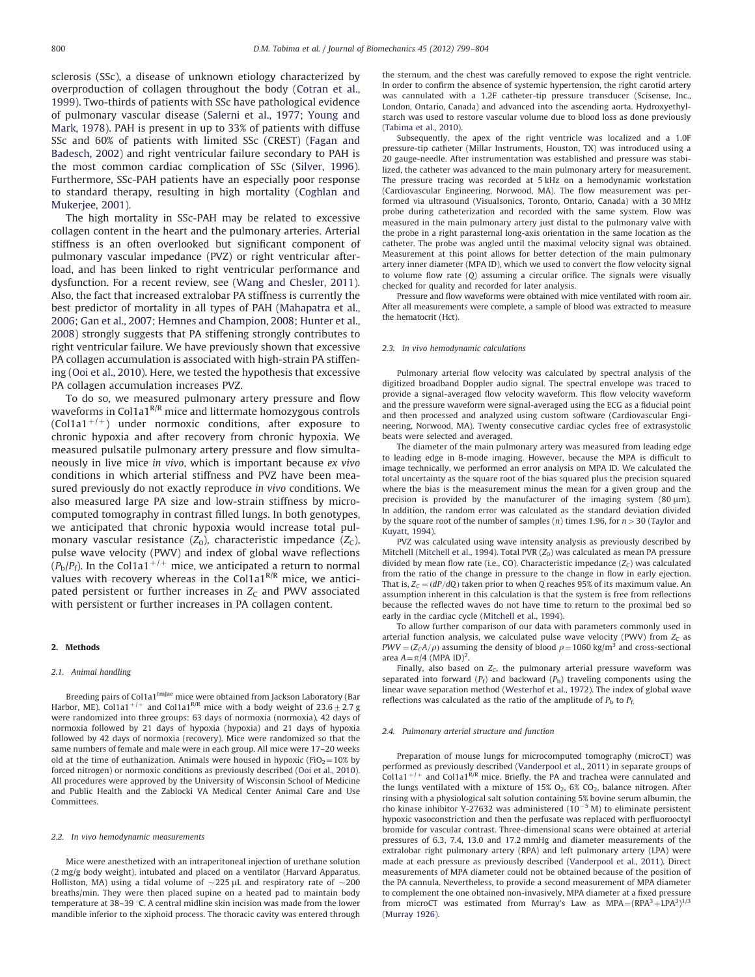sclerosis (SSc), a disease of unknown etiology characterized by overproduction of collagen throughout the body (Cotran et al., 1999). Two-thirds of patients with SSc have pathological evidence of pulmonary vascular disease (Salerni et al., 1977; Young and Mark, 1978). PAH is present in up to 33% of patients with diffuse SSc and 60% of patients with limited SSc (CREST) (Fagan and Badesch, 2002) and right ventricular failure secondary to PAH is the most common cardiac complication of SSc (Silver, 1996). Furthermore, SSc-PAH patients have an especially poor response to standard therapy, resulting in high mortality (Coghlan and Mukerjee, 2001).

The high mortality in SSc-PAH may be related to excessive collagen content in the heart and the pulmonary arteries. Arterial stiffness is an often overlooked but significant component of pulmonary vascular impedance (PVZ) or right ventricular afterload, and has been linked to right ventricular performance and dysfunction. For a recent review, see (Wang and Chesler, 2011). Also, the fact that increased extralobar PA stiffness is currently the best predictor of mortality in all types of PAH (Mahapatra et al., 2006; Gan et al., 2007; Hemnes and Champion, 2008; Hunter et al., 2008) strongly suggests that PA stiffening strongly contributes to right ventricular failure. We have previously shown that excessive PA collagen accumulation is associated with high-strain PA stiffening (Ooi et al., 2010). Here, we tested the hypothesis that excessive PA collagen accumulation increases PVZ.

To do so, we measured pulmonary artery pressure and flow waveforms in Col1a1 $<sup>R/R</sup>$  mice and littermate homozygous controls</sup>  $(Col1a1^{+/+})$  under normoxic conditions, after exposure to chronic hypoxia and after recovery from chronic hypoxia. We measured pulsatile pulmonary artery pressure and flow simultaneously in live mice in vivo, which is important because ex vivo conditions in which arterial stiffness and PVZ have been measured previously do not exactly reproduce in vivo conditions. We also measured large PA size and low-strain stiffness by microcomputed tomography in contrast filled lungs. In both genotypes, we anticipated that chronic hypoxia would increase total pulmonary vascular resistance  $(Z_0)$ , characteristic impedance  $(Z_C)$ , pulse wave velocity (PWV) and index of global wave reflections  $(P_h/P_f)$ . In the Col1a1<sup>+/+</sup> mice, we anticipated a return to normal values with recovery whereas in the Col1a1 $R/R$  mice, we anticipated persistent or further increases in  $Z_c$  and PWV associated with persistent or further increases in PA collagen content.

## 2. Methods

#### 2.1. Animal handling

Breeding pairs of Col1a1tmJae mice were obtained from Jackson Laboratory (Bar Harbor, ME). Col1a1<sup>+/+</sup> and Col1a1<sup>R/R</sup> mice with a body weight of  $23.6 \pm 2.7$  g were randomized into three groups: 63 days of normoxia (normoxia), 42 days of normoxia followed by 21 days of hypoxia (hypoxia) and 21 days of hypoxia followed by 42 days of normoxia (recovery). Mice were randomized so that the same numbers of female and male were in each group. All mice were 17–20 weeks old at the time of euthanization. Animals were housed in hypoxic (FiO<sub>2</sub> =  $10\%$  by forced nitrogen) or normoxic conditions as previously described (Ooi et al., 2010). All procedures were approved by the University of Wisconsin School of Medicine and Public Health and the Zablocki VA Medical Center Animal Care and Use Committees.

### 2.2. In vivo hemodynamic measurements

Mice were anesthetized with an intraperitoneal injection of urethane solution (2 mg/g body weight), intubated and placed on a ventilator (Harvard Apparatus, Holliston, MA) using a tidal volume of  $\sim$ 225  $\mu$ L and respiratory rate of  $\sim$ 200 breaths/min. They were then placed supine on a heated pad to maintain body temperature at 38–39  $\degree$ C. A central midline skin incision was made from the lower mandible inferior to the xiphoid process. The thoracic cavity was entered through the sternum, and the chest was carefully removed to expose the right ventricle. In order to confirm the absence of systemic hypertension, the right carotid artery was cannulated with a 1.2F catheter-tip pressure transducer (Scisense, Inc., London, Ontario, Canada) and advanced into the ascending aorta. Hydroxyethylstarch was used to restore vascular volume due to blood loss as done previously (Tabima et al., 2010).

Subsequently, the apex of the right ventricle was localized and a 1.0F pressure-tip catheter (Millar Instruments, Houston, TX) was introduced using a 20 gauge-needle. After instrumentation was established and pressure was stabilized, the catheter was advanced to the main pulmonary artery for measurement. The pressure tracing was recorded at 5 kHz on a hemodynamic workstation (Cardiovascular Engineering, Norwood, MA). The flow measurement was performed via ultrasound (Visualsonics, Toronto, Ontario, Canada) with a 30 MHz probe during catheterization and recorded with the same system. Flow was measured in the main pulmonary artery just distal to the pulmonary valve with the probe in a right parasternal long-axis orientation in the same location as the catheter. The probe was angled until the maximal velocity signal was obtained. Measurement at this point allows for better detection of the main pulmonary artery inner diameter (MPA ID), which we used to convert the flow velocity signal to volume flow rate (Q) assuming a circular orifice. The signals were visually checked for quality and recorded for later analysis.

Pressure and flow waveforms were obtained with mice ventilated with room air. After all measurements were complete, a sample of blood was extracted to measure the hematocrit (Hct).

#### 2.3. In vivo hemodynamic calculations

Pulmonary arterial flow velocity was calculated by spectral analysis of the digitized broadband Doppler audio signal. The spectral envelope was traced to provide a signal-averaged flow velocity waveform. This flow velocity waveform and the pressure waveform were signal-averaged using the ECG as a fiducial point and then processed and analyzed using custom software (Cardiovascular Engineering, Norwood, MA). Twenty consecutive cardiac cycles free of extrasystolic beats were selected and averaged.

The diameter of the main pulmonary artery was measured from leading edge to leading edge in B-mode imaging. However, because the MPA is difficult to image technically, we performed an error analysis on MPA ID. We calculated the total uncertainty as the square root of the bias squared plus the precision squared where the bias is the measurement minus the mean for a given group and the precision is provided by the manufacturer of the imaging system  $(80 \,\mu m)$ . In addition, the random error was calculated as the standard deviation divided by the square root of the number of samples (n) times 1.96, for  $n > 30$  (Taylor and Kuyatt, 1994).

PVZ was calculated using wave intensity analysis as previously described by Mitchell (Mitchell et al., 1994). Total PVR  $(Z_0)$  was calculated as mean PA pressure divided by mean flow rate (i.e., CO). Characteristic impedance  $(Z_C)$  was calculated from the ratio of the change in pressure to the change in flow in early ejection. That is,  $Z_c = \frac{dP}{dQ}$  taken prior to when Q reaches 95% of its maximum value. An assumption inherent in this calculation is that the system is free from reflections because the reflected waves do not have time to return to the proximal bed so early in the cardiac cycle (Mitchell et al., 1994).

To allow further comparison of our data with parameters commonly used in arterial function analysis, we calculated pulse wave velocity (PWV) from  $Z_C$  as  $PWV = (Z_cA/\rho)$  assuming the density of blood  $\rho = 1060 \text{ kg/m}^3$  and cross-sectional area  $A = \pi/4$  (MPA ID)<sup>2</sup>.

Finally, also based on  $Z_c$ , the pulmonary arterial pressure waveform was separated into forward ( $P_f$ ) and backward ( $P_b$ ) traveling components using the linear wave separation method (Westerhof et al., 1972). The index of global wave reflections was calculated as the ratio of the amplitude of  $P_{\rm b}$  to  $P_{\rm f.}$ 

### 2.4. Pulmonary arterial structure and function

Preparation of mouse lungs for microcomputed tomography (microCT) was performed as previously described (Vanderpool et al., 2011) in separate groups of Col1a1<sup>+/+</sup> and Col1a1<sup>R/R</sup> mice. Briefly, the PA and trachea were cannulated and the lungs ventilated with a mixture of  $15\%$  O<sub>2</sub>, 6% CO<sub>2</sub>, balance nitrogen. After rinsing with a physiological salt solution containing 5% bovine serum albumin, the rho kinase inhibitor Y-27632 was administered  $(10^{-5}$  M) to eliminate persistent hypoxic vasoconstriction and then the perfusate was replaced with perfluorooctyl bromide for vascular contrast. Three-dimensional scans were obtained at arterial pressures of 6.3, 7.4, 13.0 and 17.2 mmHg and diameter measurements of the extralobar right pulmonary artery (RPA) and left pulmonary artery (LPA) were made at each pressure as previously described (Vanderpool et al., 2011). Direct measurements of MPA diameter could not be obtained because of the position of the PA cannula. Nevertheless, to provide a second measurement of MPA diameter to complement the one obtained non-invasively, MPA diameter at a fixed pressure from microCT was estimated from Murray's Law as  $MPA = (RPA<sup>3</sup> + LPA<sup>3</sup>)<sup>1/3</sup>$ (Murray 1926).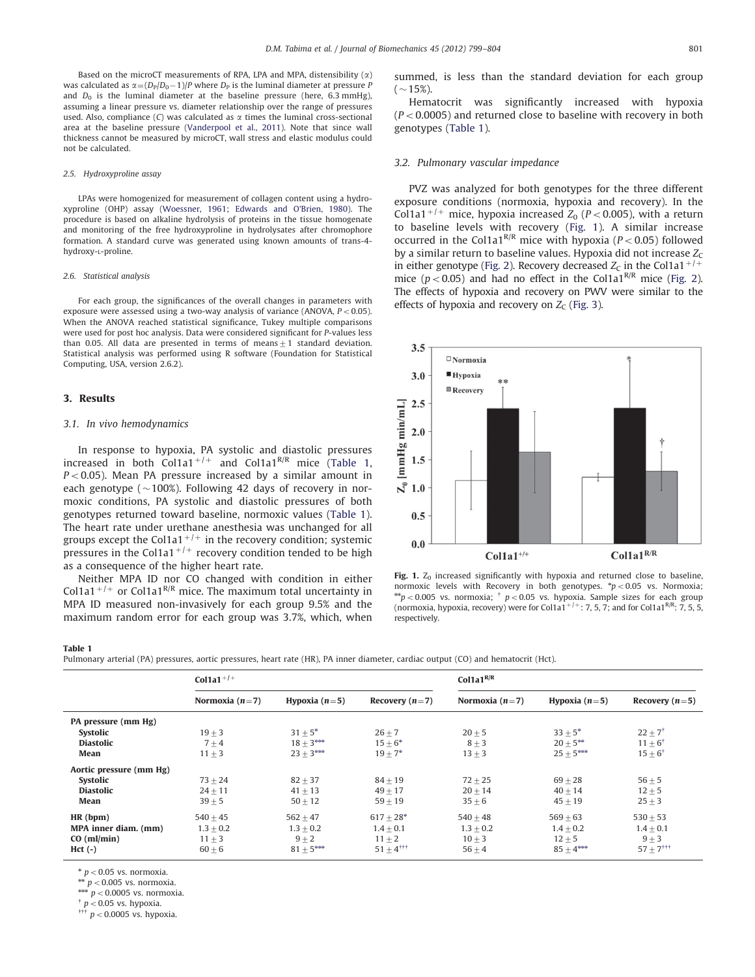Based on the microCT measurements of RPA, LPA and MPA, distensibility  $(\alpha)$ was calculated as  $\alpha = (D_p/D_0 - 1)/P$  where  $D_p$  is the luminal diameter at pressure P and  $D_0$  is the luminal diameter at the baseline pressure (here, 6.3 mmHg), assuming a linear pressure vs. diameter relationship over the range of pressures used. Also, compliance (C) was calculated as  $\alpha$  times the luminal cross-sectional area at the baseline pressure (Vanderpool et al., 2011). Note that since wall thickness cannot be measured by microCT, wall stress and elastic modulus could not be calculated.

### 2.5. Hydroxyproline assay

LPAs were homogenized for measurement of collagen content using a hydroxyproline (OHP) assay (Woessner, 1961; Edwards and O'Brien, 1980). The procedure is based on alkaline hydrolysis of proteins in the tissue homogenate and monitoring of the free hydroxyproline in hydrolysates after chromophore formation. A standard curve was generated using known amounts of trans-4 hydroxy-L-proline.

## 2.6. Statistical analysis

For each group, the significances of the overall changes in parameters with exposure were assessed using a two-way analysis of variance (ANOVA,  $P < 0.05$ ). When the ANOVA reached statistical significance, Tukey multiple comparisons were used for post hoc analysis. Data were considered significant for P-values less than 0.05. All data are presented in terms of means $\pm 1$  standard deviation. Statistical analysis was performed using R software (Foundation for Statistical Computing, USA, version 2.6.2).

# 3. Results

## 3.1. In vivo hemodynamics

In response to hypoxia, PA systolic and diastolic pressures increased in both Col1a1<sup>+/+</sup> and Col1a1<sup>R/R</sup> mice (Table 1,  $P < 0.05$ ). Mean PA pressure increased by a similar amount in each genotype ( $\sim$ 100%). Following 42 days of recovery in normoxic conditions, PA systolic and diastolic pressures of both genotypes returned toward baseline, normoxic values (Table 1). The heart rate under urethane anesthesia was unchanged for all groups except the Col1a1<sup>+/+</sup> in the recovery condition; systemic pressures in the Col1a1<sup>+/+</sup> recovery condition tended to be high as a consequence of the higher heart rate.

Neither MPA ID nor CO changed with condition in either Col1a1<sup>+/+</sup> or Col1a1<sup>R/R</sup> mice. The maximum total uncertainty in MPA ID measured non-invasively for each group 9.5% and the maximum random error for each group was 3.7%, which, when summed, is less than the standard deviation for each group  $(\sim 15\%)$ .

Hematocrit was significantly increased with hypoxia  $(P<0.0005)$  and returned close to baseline with recovery in both genotypes (Table 1).

## 3.2. Pulmonary vascular impedance

PVZ was analyzed for both genotypes for the three different exposure conditions (normoxia, hypoxia and recovery). In the Col1a1<sup>+/+</sup> mice, hypoxia increased  $Z_0$  (P < 0.005), with a return to baseline levels with recovery (Fig. 1). A similar increase occurred in the Col1a1<sup>R/R</sup> mice with hypoxia ( $P < 0.05$ ) followed by a similar return to baseline values. Hypoxia did not increase  $Z_c$ in either genotype (Fig. 2). Recovery decreased  $Z_c$  in the Col1a1<sup>+/+</sup> mice ( $p < 0.05$ ) and had no effect in the Col1a1<sup>R/R</sup> mice (Fig. 2). The effects of hypoxia and recovery on PWV were similar to the effects of hypoxia and recovery on  $Z_c$  (Fig. 3).



Fig. 1.  $Z_0$  increased significantly with hypoxia and returned close to baseline, normoxic levels with Recovery in both genotypes.  $p < 0.05$  vs. Normoxia;  $n_{p}$   $<$  0.005 vs. normoxia;  $\frac{1}{p}$   $<$  0.05 vs. hypoxia. Sample sizes for each group (normoxia, hypoxia, recovery) were for Col1a1<sup>+/+</sup>: 7, 5, 7; and for Col1a1<sup>R/R</sup>: 7, 5, 5, respectively.

## Table 1

Pulmonary arterial (PA) pressures, aortic pressures, heart rate (HR), PA inner diameter, cardiac output (CO) and hematocrit (Hct).

|                         | $Col1a1+/-$      |                 |                                  | Colla $1^{R/R}$  |                        |                                  |
|-------------------------|------------------|-----------------|----------------------------------|------------------|------------------------|----------------------------------|
|                         | Normoxia $(n=7)$ | Hypoxia $(n=5)$ | Recovery $(n=7)$                 | Normoxia $(n=7)$ | Hypoxia $(n=5)$        | Recovery $(n=5)$                 |
| PA pressure (mm Hg)     |                  |                 |                                  |                  |                        |                                  |
| Systolic                | $19 + 3$         | $31 + 5^*$      | $26 + 7$                         | $20 + 5$         | $33 + 5^*$             | $22 \pm 7^{\dagger}$             |
| <b>Diastolic</b>        | $7 + 4$          | $18 + 3$ ***    | $15 + 6^*$                       | $8 + 3$          | $20 + 5$ <sup>**</sup> | $11 + 6^{\dagger}$               |
| Mean                    | $11 + 3$         | $23 + 3$ ***    | $19 + 7^*$                       | $13 + 3$         | $25 + 5$ ***           | $15 + 6^{\dagger}$               |
| Aortic pressure (mm Hg) |                  |                 |                                  |                  |                        |                                  |
| Systolic                | $73 + 24$        | $82 + 37$       | $84 + 19$                        | $72 + 25$        | $69 + 28$              | $56 + 5$                         |
| <b>Diastolic</b>        | $24 + 11$        | $41 + 13$       | $49 + 17$                        | $20 + 14$        | $40 + 14$              | $12 + 5$                         |
| Mean                    | $39 + 5$         | $50 + 12$       | $59 + 19$                        | $35 + 6$         | $45 + 19$              | $25 + 3$                         |
| HR (bpm)                | $540 + 45$       | $562 + 47$      | $617 + 28*$                      | $540 + 48$       | $569 + 63$             | $530 + 53$                       |
| MPA inner diam. (mm)    | $1.3 + 0.2$      | $1.3 + 0.2$     | $1.4 + 0.1$                      | $1.3 + 0.2$      | $1.4 + 0.2$            | $1.4 + 0.1$                      |
| CO (ml/min)             | $11 \pm 3$       | $9 + 2$         | $11 + 2$                         | $10 + 3$         | $12 \pm 5$             | $9 + 3$                          |
| $Hct (-)$               | $60 + 6$         | $81 + 5***$     | $51 + 4^{\dagger\dagger\dagger}$ | $56 + 4$         | $85 + 4***$            | $57 + 7^{\dagger\dagger\dagger}$ |
|                         |                  |                 |                                  |                  |                        |                                  |

 $p < 0.05$  vs. normoxia.

 $p < 0.005$  vs. normoxia.

\*\*\*  $p < 0.0005$  vs. normoxia.

 $p < 0.05$  vs. hypoxia.

 $\overrightarrow{p}$  = 0.0005 vs. hypoxia.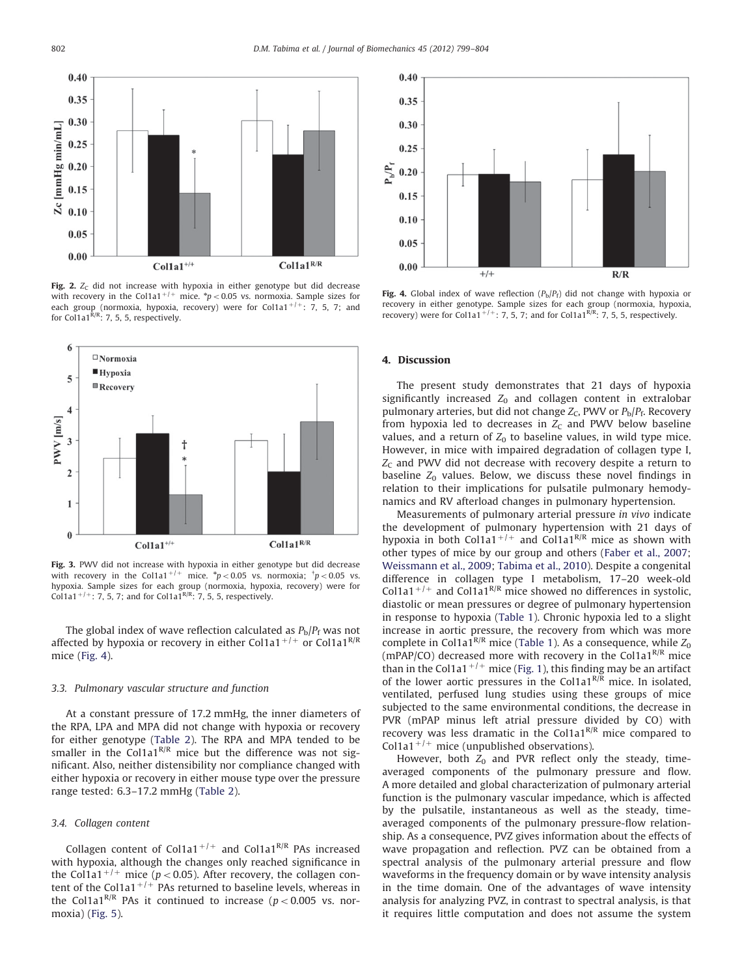

Fig. 2.  $Z_c$  did not increase with hypoxia in either genotype but did decrease with recovery in the Col1a1<sup>+/+</sup> mice.  $^{*}p$  < 0.05 vs. normoxia. Sample sizes for each group (normoxia, hypoxia, recovery) were for Col1a1 $^{+/+}$ : 7, 5, 7; and for Col1a1 $R/R$ : 7, 5, 5, respectively.



Fig. 3. PWV did not increase with hypoxia in either genotype but did decrease with recovery in the Col1a1<sup>+/+</sup> mice.  $^{*}p$  < 0.05 vs. normoxia;  $^{*}p$  < 0.05 vs. hypoxia. Sample sizes for each group (normoxia, hypoxia, recovery) were for Col1a1<sup>+/+</sup>: 7, 5, 7; and for Col1a1<sup>R/R</sup>: 7, 5, 5, respectively.

The global index of wave reflection calculated as  $P_{\rm b}/P_{\rm f}$  was not affected by hypoxia or recovery in either Col1a1<sup>+/+</sup> or Col1a1<sup>R/R</sup> mice (Fig. 4).

# 3.3. Pulmonary vascular structure and function

At a constant pressure of 17.2 mmHg, the inner diameters of the RPA, LPA and MPA did not change with hypoxia or recovery for either genotype (Table 2). The RPA and MPA tended to be smaller in the Col1a1 $R/R$  mice but the difference was not significant. Also, neither distensibility nor compliance changed with either hypoxia or recovery in either mouse type over the pressure range tested: 6.3–17.2 mmHg (Table 2).

## 3.4. Collagen content

Collagen content of Col1a1<sup>+/+</sup> and Col1a1<sup>R/R</sup> PAs increased with hypoxia, although the changes only reached significance in the Col1a1<sup>+/+</sup> mice ( $p$  < 0.05). After recovery, the collagen content of the Col1a1<sup>+/+</sup> PAs returned to baseline levels, whereas in the Col1a1<sup>R/R</sup> PAs it continued to increase ( $p < 0.005$  vs. normoxia) (Fig. 5).



Fig. 4. Global index of wave reflection  $(P_b/P_f)$  did not change with hypoxia or recovery in either genotype. Sample sizes for each group (normoxia, hypoxia, recovery) were for Col1a1<sup>+/+</sup>: 7, 5, 7; and for Col1a1<sup>R/R</sup>: 7, 5, 5, respectively.

## 4. Discussion

The present study demonstrates that 21 days of hypoxia significantly increased  $Z_0$  and collagen content in extralobar pulmonary arteries, but did not change  $Z_c$ , PWV or  $P_b/P_f$ . Recovery from hypoxia led to decreases in  $Z_c$  and PWV below baseline values, and a return of  $Z_0$  to baseline values, in wild type mice. However, in mice with impaired degradation of collagen type I,  $Z_c$  and PWV did not decrease with recovery despite a return to baseline  $Z_0$  values. Below, we discuss these novel findings in relation to their implications for pulsatile pulmonary hemodynamics and RV afterload changes in pulmonary hypertension.

Measurements of pulmonary arterial pressure in vivo indicate the development of pulmonary hypertension with 21 days of hypoxia in both Col1a1<sup>+/+</sup> and Col1a1<sup>R/R</sup> mice as shown with other types of mice by our group and others (Faber et al., 2007; Weissmann et al., 2009; Tabima et al., 2010). Despite a congenital difference in collagen type I metabolism, 17–20 week-old Col1a1<sup>+/+</sup> and Col1a1<sup>R/R</sup> mice showed no differences in systolic, diastolic or mean pressures or degree of pulmonary hypertension in response to hypoxia (Table 1). Chronic hypoxia led to a slight increase in aortic pressure, the recovery from which was more complete in Col1a1<sup>R/R</sup> mice (Table 1). As a consequence, while  $Z_0$ (mPAP/CO) decreased more with recovery in the Col1a1<sup>R/R</sup> mice than in the Col1a1<sup>+/+</sup> mice (Fig. 1), this finding may be an artifact of the lower aortic pressures in the Col1a1 $R/R$  mice. In isolated, ventilated, perfused lung studies using these groups of mice subjected to the same environmental conditions, the decrease in PVR (mPAP minus left atrial pressure divided by CO) with recovery was less dramatic in the Col1a1 $R/R$  mice compared to Col1a1<sup>+/+</sup> mice (unpublished observations).

However, both  $Z_0$  and PVR reflect only the steady, timeaveraged components of the pulmonary pressure and flow. A more detailed and global characterization of pulmonary arterial function is the pulmonary vascular impedance, which is affected by the pulsatile, instantaneous as well as the steady, timeaveraged components of the pulmonary pressure-flow relationship. As a consequence, PVZ gives information about the effects of wave propagation and reflection. PVZ can be obtained from a spectral analysis of the pulmonary arterial pressure and flow waveforms in the frequency domain or by wave intensity analysis in the time domain. One of the advantages of wave intensity analysis for analyzing PVZ, in contrast to spectral analysis, is that it requires little computation and does not assume the system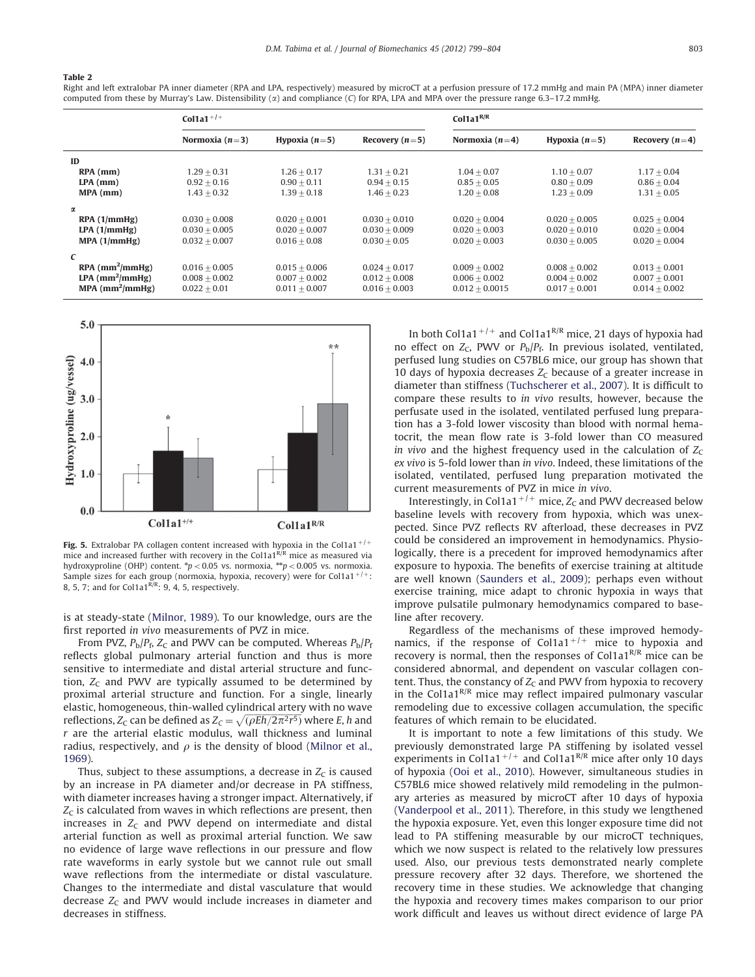### Table 2

Right and left extralobar PA inner diameter (RPA and LPA, respectively) measured by microCT at a perfusion pressure of 17.2 mmHg and main PA (MPA) inner diameter computed from these by Murray's Law. Distensibility  $(\alpha)$  and compliance (C) for RPA, LPA and MPA over the pressure range 6.3–17.2 mmHg.

|                                                                                                 | $Collaa^{+/+}$                                       |                                                       |                                                       | Colla $1^{R/R}$                                        |                                                       |                                                       |
|-------------------------------------------------------------------------------------------------|------------------------------------------------------|-------------------------------------------------------|-------------------------------------------------------|--------------------------------------------------------|-------------------------------------------------------|-------------------------------------------------------|
|                                                                                                 | Normoxia $(n=3)$                                     | Hypoxia $(n=5)$                                       | Recovery $(n=5)$                                      | Normoxia $(n=4)$                                       | Hypoxia $(n=5)$                                       | Recovery $(n=4)$                                      |
| ID                                                                                              |                                                      |                                                       |                                                       |                                                        |                                                       |                                                       |
| $RPA$ (mm)                                                                                      | $1.29 + 0.31$                                        | $1.26 + 0.17$                                         | $1.31 + 0.21$                                         | $1.04 + 0.07$                                          | $1.10 + 0.07$                                         | $1.17 + 0.04$                                         |
| $LPA$ (mm)                                                                                      | $0.92 + 0.16$                                        | $0.90 + 0.11$                                         | $0.94 + 0.15$                                         | $0.85 + 0.05$                                          | $0.80 + 0.09$                                         | $0.86 + 0.04$                                         |
| $MPA$ (mm)                                                                                      | $1.43 + 0.32$                                        | $1.39 + 0.18$                                         | $1.46 + 0.23$                                         | $1.20 + 0.08$                                          | $1.23 + 0.09$                                         | $1.31 + 0.05$                                         |
| α                                                                                               |                                                      |                                                       |                                                       |                                                        |                                                       |                                                       |
| RPA(1/mmHg)                                                                                     | $0.030 + 0.008$                                      | $0.020 + 0.001$                                       | $0.030 + 0.010$                                       | $0.020 + 0.004$                                        | $0.020 + 0.005$                                       | $0.025 + 0.004$                                       |
| LPA(1/mmHg)                                                                                     | $0.030 + 0.005$                                      | $0.020 + 0.007$                                       | $0.030 + 0.009$                                       | $0.020 + 0.003$                                        | $0.020 + 0.010$                                       | $0.020 + 0.004$                                       |
| MPA(1/mmHg)                                                                                     | $0.032 + 0.007$                                      | $0.016 + 0.08$                                        | $0.030 + 0.05$                                        | $0.020 + 0.003$                                        | $0.030 + 0.005$                                       | $0.020 + 0.004$                                       |
| C                                                                                               |                                                      |                                                       |                                                       |                                                        |                                                       |                                                       |
| $RPA$ (mm <sup>2</sup> /mmHg)<br>$LPA$ (mm <sup>2</sup> /mmHg)<br>$MPA$ (mm <sup>2</sup> /mmHg) | $0.016 + 0.005$<br>$0.008 + 0.002$<br>$0.022 + 0.01$ | $0.015 + 0.006$<br>$0.007 + 0.002$<br>$0.011 + 0.007$ | $0.024 + 0.017$<br>$0.012 + 0.008$<br>$0.016 + 0.003$ | $0.009 + 0.002$<br>$0.006 + 0.002$<br>$0.012 + 0.0015$ | $0.008 + 0.002$<br>$0.004 + 0.002$<br>$0.017 + 0.001$ | $0.013 + 0.001$<br>$0.007 + 0.001$<br>$0.014 + 0.002$ |



Fig. 5. Extralobar PA collagen content increased with hypoxia in the Col1a1<sup>+/+</sup> mice and increased further with recovery in the Col1a1<sup>R/R</sup> mice as measured via hydroxyproline (OHP) content.  $np < 0.05$  vs. normoxia,  $^{* \nmid p} < 0.005$  vs. normoxia. Sample sizes for each group (normoxia, hypoxia, recovery) were for Col1a1<sup>+/+</sup>: 8, 5, 7; and for Col1a1 $\overline{R/R}$ : 9, 4, 5, respectively.

is at steady-state (Milnor, 1989). To our knowledge, ours are the first reported in vivo measurements of PVZ in mice.

From PVZ,  $P_{b}/P_{f}$ ,  $Z_{C}$  and PWV can be computed. Whereas  $P_{b}/P_{f}$ reflects global pulmonary arterial function and thus is more sensitive to intermediate and distal arterial structure and function,  $Z_c$  and PWV are typically assumed to be determined by proximal arterial structure and function. For a single, linearly elastic, homogeneous, thin-walled cylindrical artery with no wave reflections,  $Z_C$  can be defined as  $Z_C = \sqrt{(\rho E h / 2\pi^2 r^5)}$  where E, h and  $r$  are the arterial elastic modulus, wall thickness and luminal radius, respectively, and  $\rho$  is the density of blood (Milnor et al., 1969).

Thus, subject to these assumptions, a decrease in  $Z_c$  is caused by an increase in PA diameter and/or decrease in PA stiffness, with diameter increases having a stronger impact. Alternatively, if  $Z<sub>C</sub>$  is calculated from waves in which reflections are present, then increases in  $Z_c$  and PWV depend on intermediate and distal arterial function as well as proximal arterial function. We saw no evidence of large wave reflections in our pressure and flow rate waveforms in early systole but we cannot rule out small wave reflections from the intermediate or distal vasculature. Changes to the intermediate and distal vasculature that would decrease  $Z_C$  and PWV would include increases in diameter and decreases in stiffness.

In both Col1a1<sup>+/+</sup> and Col1a1<sup>R/R</sup> mice, 21 days of hypoxia had no effect on  $Z_c$ , PWV or  $P_b/P_f$ . In previous isolated, ventilated, perfused lung studies on C57BL6 mice, our group has shown that 10 days of hypoxia decreases  $Z_c$  because of a greater increase in diameter than stiffness (Tuchscherer et al., 2007). It is difficult to compare these results to in vivo results, however, because the perfusate used in the isolated, ventilated perfused lung preparation has a 3-fold lower viscosity than blood with normal hematocrit, the mean flow rate is 3-fold lower than CO measured in vivo and the highest frequency used in the calculation of  $Z_c$ ex vivo is 5-fold lower than in vivo. Indeed, these limitations of the isolated, ventilated, perfused lung preparation motivated the current measurements of PVZ in mice in vivo.

Interestingly, in Col1a1<sup>+/+</sup> mice,  $Z_C$  and PWV decreased below baseline levels with recovery from hypoxia, which was unexpected. Since PVZ reflects RV afterload, these decreases in PVZ could be considered an improvement in hemodynamics. Physiologically, there is a precedent for improved hemodynamics after exposure to hypoxia. The benefits of exercise training at altitude are well known (Saunders et al., 2009); perhaps even without exercise training, mice adapt to chronic hypoxia in ways that improve pulsatile pulmonary hemodynamics compared to baseline after recovery.

Regardless of the mechanisms of these improved hemodynamics, if the response of Col1a1<sup>+/+</sup> mice to hypoxia and recovery is normal, then the responses of Col1a1 $R/R$  mice can be considered abnormal, and dependent on vascular collagen content. Thus, the constancy of  $Z_c$  and PWV from hypoxia to recovery in the Col1a1 $R/R$  mice may reflect impaired pulmonary vascular remodeling due to excessive collagen accumulation, the specific features of which remain to be elucidated.

It is important to note a few limitations of this study. We previously demonstrated large PA stiffening by isolated vessel experiments in Col1a1<sup>+/+</sup> and Col1a1<sup>R/R</sup> mice after only 10 days of hypoxia (Ooi et al., 2010). However, simultaneous studies in C57BL6 mice showed relatively mild remodeling in the pulmonary arteries as measured by microCT after 10 days of hypoxia (Vanderpool et al., 2011). Therefore, in this study we lengthened the hypoxia exposure. Yet, even this longer exposure time did not lead to PA stiffening measurable by our microCT techniques, which we now suspect is related to the relatively low pressures used. Also, our previous tests demonstrated nearly complete pressure recovery after 32 days. Therefore, we shortened the recovery time in these studies. We acknowledge that changing the hypoxia and recovery times makes comparison to our prior work difficult and leaves us without direct evidence of large PA